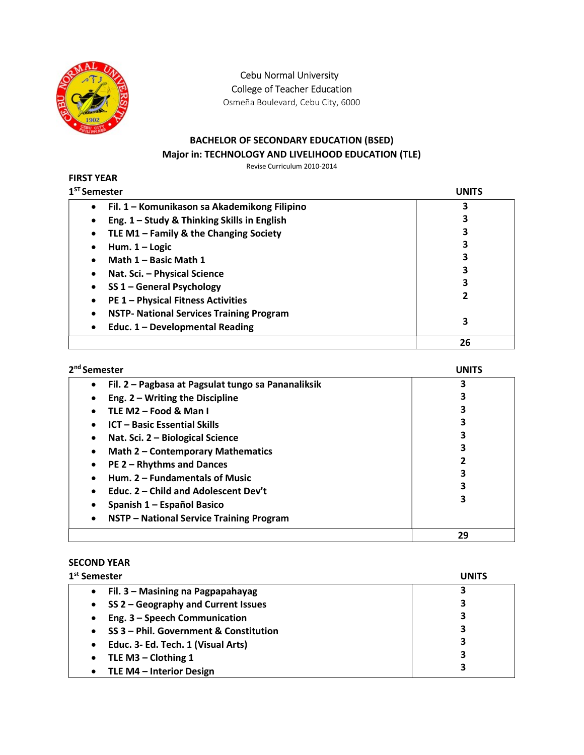

Cebu Normal University College of Teacher Education

Osmeña Boulevard, Cebu City, 6000

## BACHELOR OF SECONDARY EDUCATION (BSED) Major in: TECHNOLOGY AND LIVELIHOOD EDUCATION (TLE)

Revise Curriculum 2010-2014

#### FIRST YEAR  $1<sup>ST</sup> S<sub>0</sub>$

| <sup>ST</sup> Semester                                    | UNITS |
|-----------------------------------------------------------|-------|
| Fil. 1 – Komunikason sa Akademikong Filipino<br>$\bullet$ | 3     |
| Eng. 1 - Study & Thinking Skills in English               |       |
| TLE M1 - Family & the Changing Society                    | 3     |
| Hum. $1 -$ Logic                                          | 3     |
| Math 1 - Basic Math 1                                     | 3     |
| Nat. Sci. - Physical Science                              | 3     |
| SS 1 - General Psychology                                 | 3     |
| <b>PE 1 - Physical Fitness Activities</b>                 |       |
| <b>NSTP- National Services Training Program</b><br>٠      |       |
| Educ. 1 - Developmental Reading<br>٠                      | 3     |
|                                                           | 26    |

| 2 <sup>nd</sup> Semester                                        | UNITS |
|-----------------------------------------------------------------|-------|
| Fil. 2 - Pagbasa at Pagsulat tungo sa Pananaliksik<br>$\bullet$ |       |
| Eng. $2 - W$ riting the Discipline<br>٠                         |       |
| TLE M2 - Food & Man I<br>$\bullet$                              |       |
| <b>ICT - Basic Essential Skills</b><br>٠                        |       |
| Nat. Sci. 2 - Biological Science<br>$\bullet$                   |       |
| <b>Math 2 - Contemporary Mathematics</b><br>$\bullet$           |       |
| PE 2 - Rhythms and Dances<br>$\bullet$                          |       |
| Hum. 2 - Fundamentals of Music<br>$\bullet$                     |       |
| Educ. 2 – Child and Adolescent Dev't                            |       |
| Spanish 1 - Español Basico<br>٠                                 |       |
| NSTP - National Service Training Program<br>$\bullet$           |       |
|                                                                 | 29    |

# SECOND YEAR

| 1 <sup>st</sup> Semester                   | UNITS |
|--------------------------------------------|-------|
| Fil. 3 - Masining na Pagpapahayag          |       |
| SS 2 - Geography and Current Issues        | 3     |
| Eng. 3 - Speech Communication<br>$\bullet$ | 3     |
| SS 3 - Phil. Government & Constitution     | 3     |
| Educ. 3- Ed. Tech. 1 (Visual Arts)         | 3     |
| TLE M3 - Clothing 1                        | 3     |
| TLE M4 - Interior Design                   | 3     |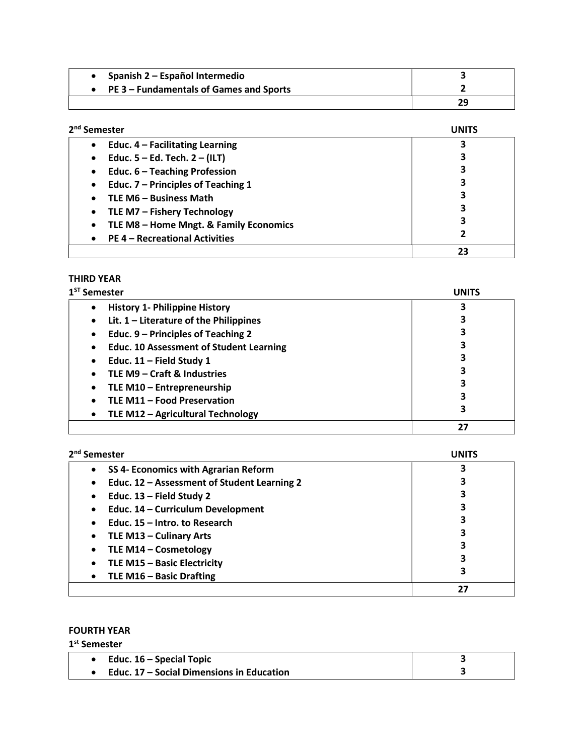| Spanish 2 – Español Intermedio          |    |
|-----------------------------------------|----|
| PE 3 – Fundamentals of Games and Sports |    |
|                                         | 29 |

| 2 <sup>nd</sup> Semester                            | <b>UNITS</b> |
|-----------------------------------------------------|--------------|
| Educ. $4$ – Facilitating Learning<br>$\bullet$      |              |
| Educ. $5 - Ed$ . Tech. $2 - (ILT)$<br>$\bullet$     |              |
| Educ. 6 - Teaching Profession<br>$\bullet$          | 3            |
| Educ. 7 - Principles of Teaching 1<br>$\bullet$     |              |
| TLE M6 - Business Math<br>$\bullet$                 |              |
| TLE M7 - Fishery Technology<br>$\bullet$            | 3            |
| TLE M8 - Home Mngt. & Family Economics<br>$\bullet$ | 3            |
| <b>PE 4 - Recreational Activities</b><br>$\bullet$  | 2            |
|                                                     | 23           |

## THIRD YEAR

| $1ST$ Semester                                        | UNITS |
|-------------------------------------------------------|-------|
| <b>History 1- Philippine History</b><br>$\bullet$     |       |
| Lit. $1$ – Literature of the Philippines<br>$\bullet$ |       |
| Educ. 9 – Principles of Teaching 2<br>$\bullet$       |       |
| <b>Educ. 10 Assessment of Student Learning</b>        |       |
| Educ. 11 - Field Study 1                              |       |
| TLE M9 - Craft & Industries                           |       |
| TLE M10 - Entrepreneurship<br>$\bullet$               |       |
| TLE M11 - Food Preservation                           |       |
| TLE M12 - Agricultural Technology                     | 3     |
|                                                       | 27    |

| 2 <sup>nd</sup> Semester                                 | <b>UNITS</b> |
|----------------------------------------------------------|--------------|
| SS 4- Economics with Agrarian Reform<br>$\bullet$        |              |
| Educ. 12 - Assessment of Student Learning 2<br>$\bullet$ |              |
| Educ. $13$ – Field Study 2<br>$\bullet$                  | 3            |
| Educ. 14 - Curriculum Development<br>$\bullet$           |              |
| Educ. 15 - Intro. to Research<br>$\bullet$               |              |
| TLE M13 - Culinary Arts<br>$\bullet$                     | 3            |
| TLE M14 - Cosmetology<br>$\bullet$                       | 3            |
| TLE M15 - Basic Electricity<br>$\bullet$                 | 3            |
| TLE M16 - Basic Drafting<br>$\bullet$                    | 3            |
|                                                          | 27           |

### FOURTH YEAR

| $1st$ Semester                            |  |
|-------------------------------------------|--|
| Educ. $16$ – Special Topic                |  |
| Educ. 17 – Social Dimensions in Education |  |